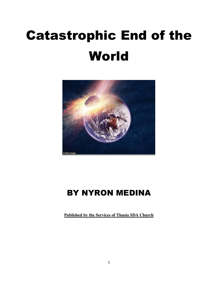# Catastrophic End of the World



# BY NYRON MEDINA

**Published by the Services of Thusia SDA Church**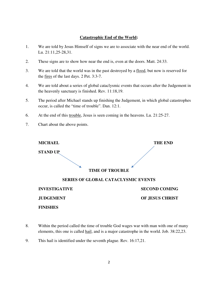## **Catastrophic End of the World:**

- 1. We are told by Jesus Himself of signs we are to associate with the near end of the world. Lu. 21:11,25-28,31.
- 2. These signs are to show how near the end is, even at the doors. Matt. 24:33.
- 3. We are told that the world was in the past destroyed by a flood, but now is reserved for the fires of the last days. 2 Pet. 3:3-7.
- 4. We are told about a series of global cataclysmic events that occurs after the Judgement in the heavenly sanctuary is finished. Rev. 11:18,19.
- 5. The period after Michael stands up finishing the Judgement, in which global catastrophes occur, is called the "time of trouble". Dan. 12:1.
- 6. At the end of this trouble, Jesus is seen coming in the heavens. Lu. 21:25-27.
- 7. Chart about the above points.

 **FINISHES** 

| <b>MICHAEL</b>       | <b>THE END</b>                             |
|----------------------|--------------------------------------------|
| <b>STAND UP</b>      |                                            |
|                      | <b>TIME OF TROUBLE</b>                     |
|                      | <b>SERIES OF GLOBAL CATACLYSMIC EVENTS</b> |
| <b>INVESTIGATIVE</b> | <b>SECOND COMING</b>                       |
| <b>JUDGEMENT</b>     | <b>OF JESUS CHRIST</b>                     |

- 8. Within the period called the time of trouble God wages war with man with one of many elements, this one is called hail, and is a major catastrophe in the world. Job. 38:22,23.
- 9. This hail is identified under the seventh plague. Rev. 16:17,21.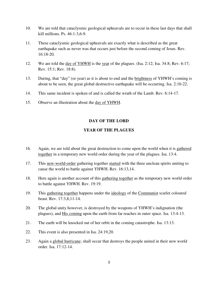- 10. We are told that cataclysmic geological upheavals are to occur in these last days that shall kill millions. Ps. 46:1-3,6-9.
- 11. These cataclysmic geological upheavals are exactly what is described as the great earthquake such as never was that occurs just before the second coming of Jesus. Rev. 16:18-20.
- 12. We are told the <u>day of YHWH</u> is the year of the plagues. (Isa. 2:12; Isa. 34:8; Rev. 6:17; Rev. 15:1; Rev. 18:8).
- 13. During, that "day" (or year) as it is about to end and the brightness of YHWH's coming is about to be seen, the great global destructive earthquake will be occurring. Isa. 2:10-22.
- 14. This same incident is spoken of and is called the wrath of the Lamb. Rev. 6:14-17.
- 15. Observe an illustration about the day of YHWH.

### **DAY OF THE LORD**

### **YEAR OF THE PLAGUES**

- 16. Again, we are told about the great destruction to come upon the world when it is gathered together in a temporary new world order during the year of the plagues. Isa. 13:4.
- 17. This new-world-order gathering together started with the three unclean spirits uniting to cause the world to battle against YHWH. Rev. 16:13,14.
- 18. Here again is another account of this gathering together as the temporary new world order to battle against YHWH. Rev. 19:19.
- 19. This gathering together happens under the ideology of the Communist scarlet coloured beast. Rev. 17:3,8,11-14.
- 20. The global unity however, is destroyed by the weapons of YHWH's indignation (the plagues), and His coming upon the earth from far reaches in outer space. Isa. 13:4-13.
- 21. The earth will be knocked out of her orbit in the coming catastrophe. Isa. 13:13.
- 22. This event is also presented in Isa. 24:19,20.
- 23. Again a global hurricane; shall occur that destroys the people united in their new world order. Isa. 17:12-14.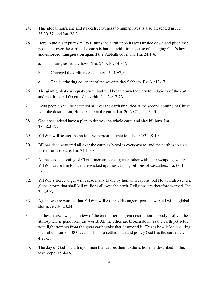- 24. This global hurricane and its destructiveness to human lives is also presented in Jer. 25:30-37, and Isa. 28:2.
- 25. Here in these scriptures YHWH turns the earth upon its axis upside down and pitch the; people all over the earth. The earth is burned with fire because of changing God's law and enforced transgression against the Sabbath covenant. Isa. 24:1-6.
	- a. Transgressed the laws. (Isa. 24:5; Pr. 14:34).
	- b. Changed the ordinance (statute). Ps. 19:7,8.
	- c. The everlasting covenant of the seventh day Sabbath. Ex. 31:13-17.
- 26. The giant global earthquake, with hail will break down the very foundations of the earth, and reel it to and fro out of its orbit. Isa. 24:17-23.
- 27. Dead people shall be scattered all over the earth unburied at the second coming of Christ with the destruction, He reeks upon the earth. Isa. 26:20,21; Isa. 34:3.
- 28. God does indeed have a plan to destroy the whole earth and slay billions. Isa. 28:18,21,22.
- 29. YHWH will scatter the nations with great destruction. Isa. 33:2-4,8-10.
- 30. Billons dead scattered all over the earth as blood is everywhere, and the earth is to also lose its atmosphere. Isa. 34:1-5,8.
- 31. At the second coming of Christ, men are slaying each other with their weapons, while YHWH cause fire to burn the wicked up, thus causing billions of casualties. Isa. 66:14- 17.
- 32. YHWH's fierce anger will cause many to die by human weapons, but He will also send a global storm that shall kill millions all over the earth. Religions are therefore warned. Jer. 25:29-37.
- 33. Again, we are warned that YHWH will express His anger upon the wicked with a global storm. Jer. 30:23,24.
- 34. In these verses we get a view of the earth after its great destruction; nobody is alive, the atmosphere is gone from the world. All the cities are broken down as the earth yet settle with light tremors from the great earthquake that destroyed it. This is how it looks during the millennium or 1000 years. This is a settled plan and policy God has the earth. Jer. 4:21-28.
- 35. The day of God's wrath upon men that causes them to die is horribly described in this text. Zeph. 1:14-18.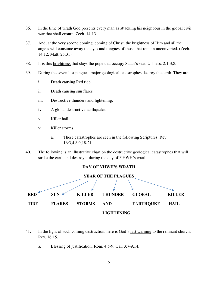- 36. In the time of wrath God presents every man as attacking his neighbour in the global civil war that shall ensure. Zech. 14:13.
- 37. And, at the very second coming, coming of Christ, the brightness of Him and all the angels will consume away the eyes and tongues of those that remain unconverted. (Zech. 14:12; Matt. 25:31).
- 38. It is this brightness that slays the pope that occupy Satan's seat. 2 Thess. 2:1-3,8.
- 39. During the seven last plagues, major geological catastrophes destroy the earth. They are:
	- i. Death causing Red tide.
	- ii. Death causing sun flares.
	- iii. Destructive thunders and lightening.
	- iv. A global destructive earthquake.
	- v. Killer hail.
	- vi. Killer storms.
		- a. These catastrophes are seen in the following Scriptures. Rev. 16:3,4,8,9,18-21.
- 40. The following is an illustrative chart on the destructive geological catastrophes that will strike the earth and destroy it during the day of YHWH's wrath.



- 41. In the light of such coming destruction, here is God's last warning to the remnant church. Rev. 16:15.
	- a. Blessing of justification. Rom. 4:5-9; Gal. 3:7-9,14.